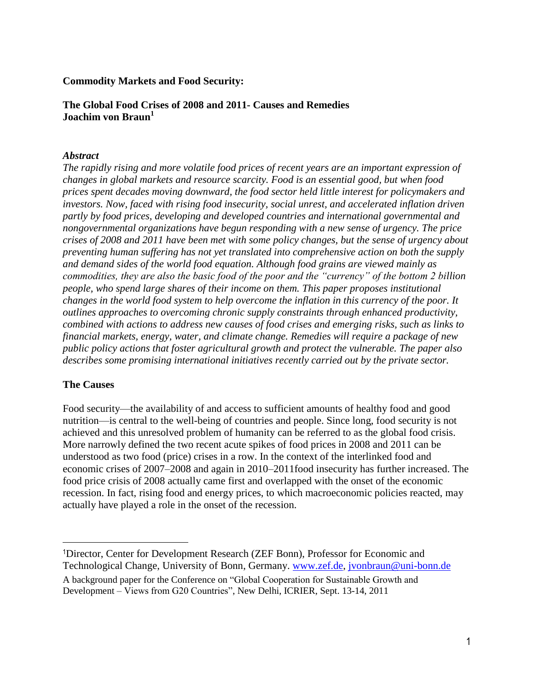## **Commodity Markets and Food Security:**

# **The Global Food Crises of 2008 and 2011- Causes and Remedies Joachim von Braun<sup>1</sup>**

## *Abstract*

*The rapidly rising and more volatile food prices of recent years are an important expression of changes in global markets and resource scarcity. Food is an essential good, but when food prices spent decades moving downward, the food sector held little interest for policymakers and investors. Now, faced with rising food insecurity, social unrest, and accelerated inflation driven partly by food prices, developing and developed countries and international governmental and nongovernmental organizations have begun responding with a new sense of urgency. The price crises of 2008 and 2011 have been met with some policy changes, but the sense of urgency about preventing human suffering has not yet translated into comprehensive action on both the supply and demand sides of the world food equation. Although food grains are viewed mainly as commodities, they are also the basic food of the poor and the "currency" of the bottom 2 billion people, who spend large shares of their income on them. This paper proposes institutional changes in the world food system to help overcome the inflation in this currency of the poor. It outlines approaches to overcoming chronic supply constraints through enhanced productivity, combined with actions to address new causes of food crises and emerging risks, such as links to financial markets, energy, water, and climate change. Remedies will require a package of new public policy actions that foster agricultural growth and protect the vulnerable. The paper also describes some promising international initiatives recently carried out by the private sector.*

## **The Causes**

 $\overline{\phantom{a}}$ 

Food security—the availability of and access to sufficient amounts of healthy food and good nutrition—is central to the well-being of countries and people. Since long, food security is not achieved and this unresolved problem of humanity can be referred to as the global food crisis. More narrowly defined the two recent acute spikes of food prices in 2008 and 2011 can be understood as two food (price) crises in a row. In the context of the interlinked food and economic crises of 2007–2008 and again in 2010–2011food insecurity has further increased. The food price crisis of 2008 actually came first and overlapped with the onset of the economic recession. In fact, rising food and energy prices, to which macroeconomic policies reacted, may actually have played a role in the onset of the recession.

<sup>1</sup>Director, Center for Development Research (ZEF Bonn), Professor for Economic and Technological Change, University of Bonn, Germany. [www.zef.de,](http://www.zef.de/) [jvonbraun@uni-bonn.de](mailto:jvonbraun@uni-bonn.de) A background paper for the Conference on "Global Cooperation for Sustainable Growth and Development – Views from G20 Countries", New Delhi, ICRIER, Sept. 13-14, 2011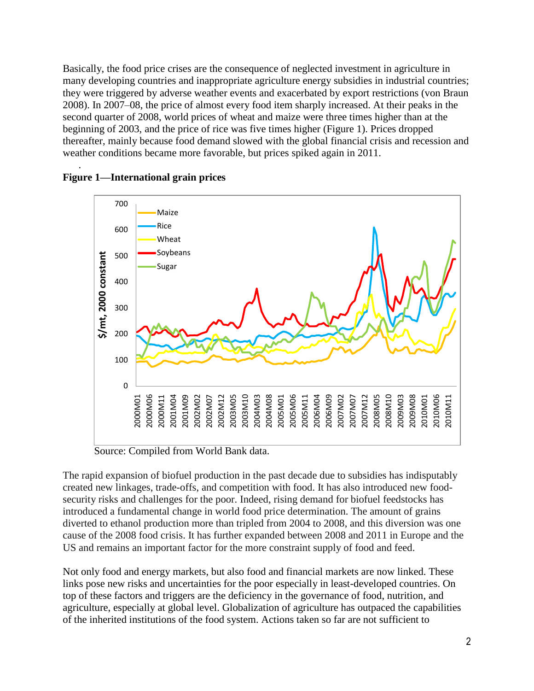Basically, the food price crises are the consequence of neglected investment in agriculture in many developing countries and inappropriate agriculture energy subsidies in industrial countries; they were triggered by adverse weather events and exacerbated by export restrictions (von Braun 2008). In 2007–08, the price of almost every food item sharply increased. At their peaks in the second quarter of 2008, world prices of wheat and maize were three times higher than at the beginning of 2003, and the price of rice was five times higher (Figure 1). Prices dropped thereafter, mainly because food demand slowed with the global financial crisis and recession and weather conditions became more favorable, but prices spiked again in 2011.



### . **Figure 1—International grain prices**

Source: Compiled from World Bank data.

The rapid expansion of biofuel production in the past decade due to subsidies has indisputably created new linkages, trade-offs, and competition with food. It has also introduced new foodsecurity risks and challenges for the poor. Indeed, rising demand for biofuel feedstocks has introduced a fundamental change in world food price determination. The amount of grains diverted to ethanol production more than tripled from 2004 to 2008, and this diversion was one cause of the 2008 food crisis. It has further expanded between 2008 and 2011 in Europe and the US and remains an important factor for the more constraint supply of food and feed.

Not only food and energy markets, but also food and financial markets are now linked. These links pose new risks and uncertainties for the poor especially in least-developed countries. On top of these factors and triggers are the deficiency in the governance of food, nutrition, and agriculture, especially at global level. Globalization of agriculture has outpaced the capabilities of the inherited institutions of the food system. Actions taken so far are not sufficient to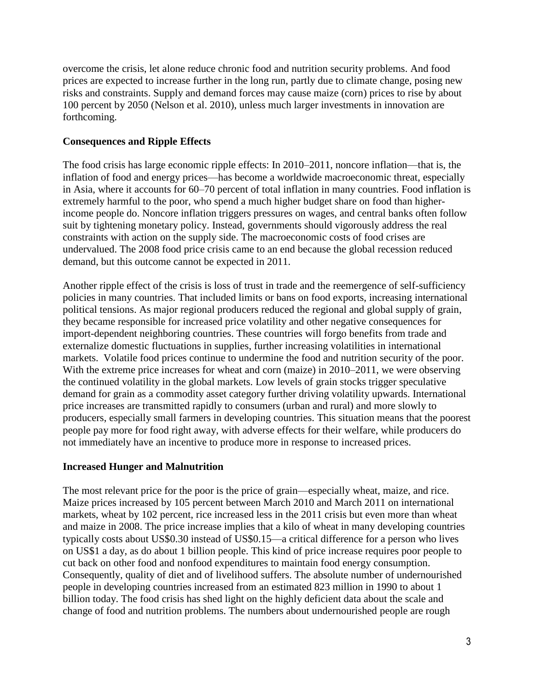overcome the crisis, let alone reduce chronic food and nutrition security problems. And food prices are expected to increase further in the long run, partly due to climate change, posing new risks and constraints. Supply and demand forces may cause maize (corn) prices to rise by about 100 percent by 2050 (Nelson et al. 2010), unless much larger investments in innovation are forthcoming.

# **Consequences and Ripple Effects**

The food crisis has large economic ripple effects: In 2010–2011, noncore inflation—that is, the inflation of food and energy prices—has become a worldwide macroeconomic threat, especially in Asia, where it accounts for 60–70 percent of total inflation in many countries. Food inflation is extremely harmful to the poor, who spend a much higher budget share on food than higherincome people do. Noncore inflation triggers pressures on wages, and central banks often follow suit by tightening monetary policy. Instead, governments should vigorously address the real constraints with action on the supply side. The macroeconomic costs of food crises are undervalued. The 2008 food price crisis came to an end because the global recession reduced demand, but this outcome cannot be expected in 2011.

Another ripple effect of the crisis is loss of trust in trade and the reemergence of self-sufficiency policies in many countries. That included limits or bans on food exports, increasing international political tensions. As major regional producers reduced the regional and global supply of grain, they became responsible for increased price volatility and other negative consequences for import-dependent neighboring countries. These countries will forgo benefits from trade and externalize domestic fluctuations in supplies, further increasing volatilities in international markets. Volatile food prices continue to undermine the food and nutrition security of the poor. With the [extreme price increases for wheat](http://www.ft.com/cms/s/0/51913ed6-9e60-11df-a5a4-00144feab49a.html) and corn (maize) in 2010–2011, we were observing the continued volatility in the global markets. Low levels of grain stocks trigger speculative demand for grain as a commodity asset category further driving volatility upwards. International price increases are transmitted rapidly to consumers (urban and rural) and more slowly to producers, especially small farmers in developing countries. This situation means that the poorest people pay more for food right away, with adverse effects for their welfare, while producers do not immediately have an incentive to produce more in response to increased prices.

## **Increased Hunger and Malnutrition**

The most relevant price for the poor is the price of grain—especially wheat, maize, and rice. Maize prices increased by 105 percent between March 2010 and March 2011 on international markets, wheat by 102 percent, rice increased less in the 2011 crisis but even more than wheat and maize in 2008. The price increase implies that a kilo of wheat in many developing countries typically costs about US\$0.30 instead of US\$0.15—a critical difference for a person who lives on US\$1 a day, as do about 1 billion people. This kind of price increase requires poor people to cut back on other food and nonfood expenditures to maintain food energy consumption. Consequently, quality of diet and of livelihood suffers. The absolute number of undernourished people in developing countries increased from an estimated 823 million in 1990 to about 1 billion today. The food crisis has shed light on the highly deficient data about the scale and change of food and nutrition problems. The numbers about undernourished people are rough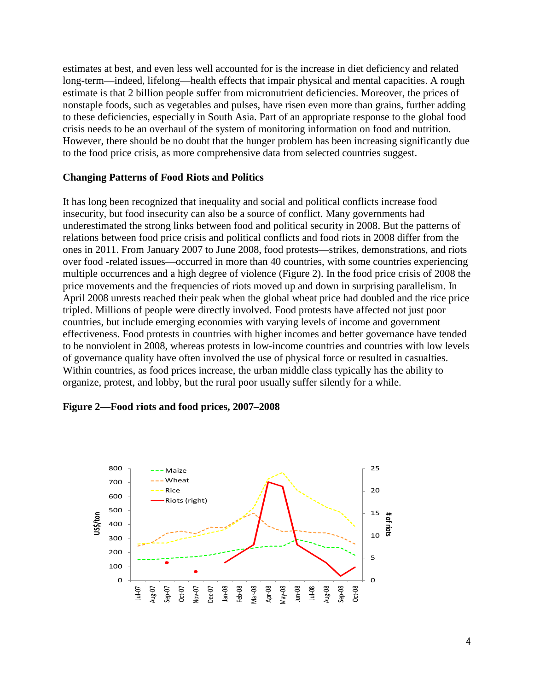estimates at best, and even less well accounted for is the increase in diet deficiency and related long-term—indeed, lifelong—health effects that impair physical and mental capacities. A rough estimate is that 2 billion people suffer from micronutrient deficiencies. Moreover, the prices of nonstaple foods, such as vegetables and pulses, have risen even more than grains, further adding to these deficiencies, especially in South Asia. Part of an appropriate response to the global food crisis needs to be an overhaul of the system of monitoring information on food and nutrition. However, there should be no doubt that the hunger problem has been increasing significantly due to the food price crisis, as more comprehensive data from selected countries suggest.

### **Changing Patterns of Food Riots and Politics**

It has long been recognized that inequality and social and political conflicts increase food insecurity, but food insecurity can also be a source of conflict. Many governments had underestimated the strong links between food and political security in 2008. But the patterns of relations between food price crisis and political conflicts and food riots in 2008 differ from the ones in 2011. From January 2007 to June 2008, food protests—strikes, demonstrations, and riots over food -related issues—occurred in more than 40 countries, with some countries experiencing multiple occurrences and a high degree of violence (Figure 2). In the food price crisis of 2008 the price movements and the frequencies of riots moved up and down in surprising parallelism. In April 2008 unrests reached their peak when the global wheat price had doubled and the rice price tripled. Millions of people were directly involved. Food protests have affected not just poor countries, but include emerging economies with varying levels of income and government effectiveness. Food protests in countries with higher incomes and better governance have tended to be nonviolent in 2008, whereas protests in low-income countries and countries with low levels of governance quality have often involved the use of physical force or resulted in casualties. Within countries, as food prices increase, the urban middle class typically has the ability to organize, protest, and lobby, but the rural poor usually suffer silently for a while.

#### **Figure 2—Food riots and food prices, 2007–2008**

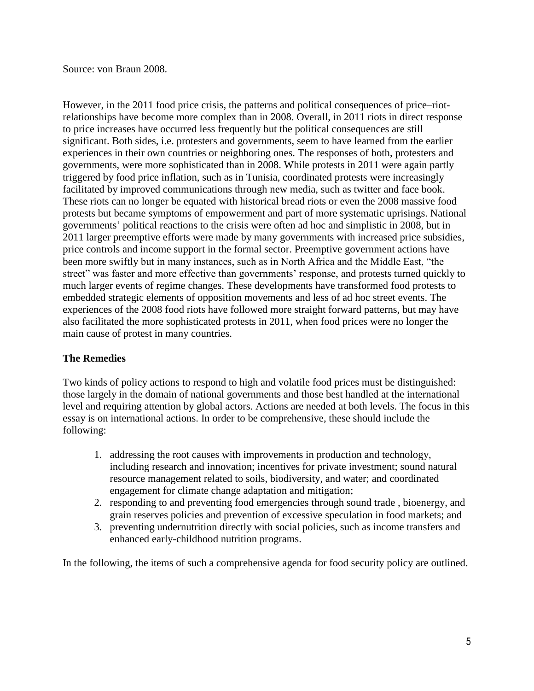Source: von Braun 2008.

However, in the 2011 food price crisis, the patterns and political consequences of price–riotrelationships have become more complex than in 2008. Overall, in 2011 riots in direct response to price increases have occurred less frequently but the political consequences are still significant. Both sides, i.e. protesters and governments, seem to have learned from the earlier experiences in their own countries or neighboring ones. The responses of both, protesters and governments, were more sophisticated than in 2008. While protests in 2011 were again partly triggered by food price inflation, such as in Tunisia, coordinated protests were increasingly facilitated by improved communications through new media, such as twitter and face book. These riots can no longer be equated with historical bread riots or even the 2008 massive food protests but became symptoms of empowerment and part of more systematic uprisings. National governments' political reactions to the crisis were often ad hoc and simplistic in 2008, but in 2011 larger preemptive efforts were made by many governments with increased price subsidies, price controls and income support in the formal sector. Preemptive government actions have been more swiftly but in many instances, such as in North Africa and the Middle East, "the street" was faster and more effective than governments' response, and protests turned quickly to much larger events of regime changes. These developments have transformed food protests to embedded strategic elements of opposition movements and less of ad hoc street events. The experiences of the 2008 food riots have followed more straight forward patterns, but may have also facilitated the more sophisticated protests in 2011, when food prices were no longer the main cause of protest in many countries.

# **The Remedies**

Two kinds of policy actions to respond to high and volatile food prices must be distinguished: those largely in the domain of national governments and those best handled at the international level and requiring attention by global actors. Actions are needed at both levels. The focus in this essay is on international actions. In order to be comprehensive, these should include the following:

- 1. addressing the root causes with improvements in production and technology, including research and innovation; incentives for private investment; sound natural resource management related to soils, biodiversity, and water; and coordinated engagement for climate change adaptation and mitigation;
- 2. responding to and preventing food emergencies through sound trade , bioenergy, and grain reserves policies and prevention of excessive speculation in food markets; and
- 3. preventing undernutrition directly with social policies, such as income transfers and enhanced early-childhood nutrition programs.

In the following, the items of such a comprehensive agenda for food security policy are outlined.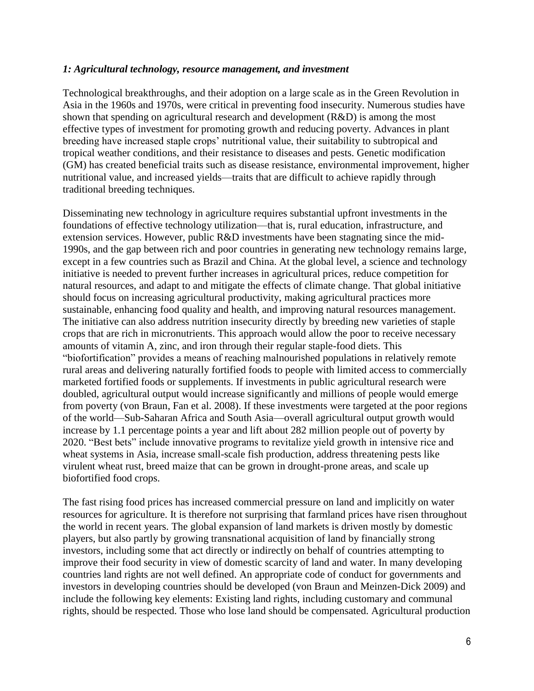### *1: Agricultural technology, resource management, and investment*

Technological breakthroughs, and their adoption on a large scale as in the Green Revolution in Asia in the 1960s and 1970s, were critical in preventing food insecurity. Numerous studies have shown that spending on agricultural research and development (R&D) is among the most effective types of investment for promoting growth and reducing poverty. Advances in plant breeding have increased staple crops' nutritional value, their suitability to subtropical and tropical weather conditions, and their resistance to diseases and pests. Genetic modification (GM) has created beneficial traits such as disease resistance, environmental improvement, higher nutritional value, and increased yields—traits that are difficult to achieve rapidly through traditional breeding techniques.

Disseminating new technology in agriculture requires substantial upfront investments in the foundations of effective technology utilization—that is, rural education, infrastructure, and extension services. However, public R&D investments have been stagnating since the mid-1990s, and the gap between rich and poor countries in generating new technology remains large, except in a few countries such as Brazil and China. At the global level, a science and technology initiative is needed to prevent further increases in agricultural prices, reduce competition for natural resources, and adapt to and mitigate the effects of climate change. That global initiative should focus on increasing agricultural productivity, making agricultural practices more sustainable, enhancing food quality and health, and improving natural resources management. The initiative can also address nutrition insecurity directly by breeding new varieties of staple crops that are rich in micronutrients. This approach would allow the poor to receive necessary amounts of vitamin A, zinc, and iron through their regular staple-food diets. This "biofortification" provides a means of reaching malnourished populations in relatively remote rural areas and delivering naturally fortified foods to people with limited access to commercially marketed fortified foods or supplements. If investments in public agricultural research were doubled, agricultural output would increase significantly and millions of people would emerge from poverty (von Braun, Fan et al. 2008). If these investments were targeted at the poor regions of the world—Sub-Saharan Africa and South Asia—overall agricultural output growth would increase by 1.1 percentage points a year and lift about 282 million people out of poverty by 2020. "Best bets" include innovative programs to revitalize yield growth in intensive rice and wheat systems in Asia, increase small-scale fish production, address threatening pests like virulent wheat rust, breed maize that can be grown in drought-prone areas, and scale up biofortified food crops.

The fast rising food prices has increased commercial pressure on land and implicitly on water resources for agriculture. It is therefore not surprising that farmland prices have risen throughout the world in recent years. The global expansion of land markets is driven mostly by domestic players, but also partly by growing transnational acquisition of land by financially strong investors, including some that act directly or indirectly on behalf of countries attempting to improve their food security in view of domestic scarcity of land and water. In many developing countries land rights are not well defined. An appropriate code of conduct for governments and investors in developing countries should be developed (von Braun and Meinzen-Dick 2009) and include the following key elements: Existing land rights, including customary and communal rights, should be respected. Those who lose land should be compensated. Agricultural production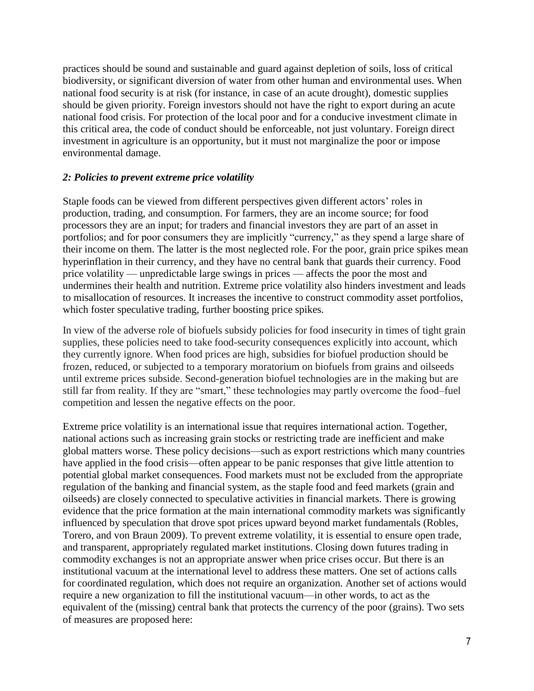practices should be sound and sustainable and guard against depletion of soils, loss of critical biodiversity, or significant diversion of water from other human and environmental uses. When national food security is at risk (for instance, in case of an acute drought), domestic supplies should be given priority. Foreign investors should not have the right to export during an acute national food crisis. For protection of the local poor and for a conducive investment climate in this critical area, the code of conduct should be enforceable, not just voluntary. Foreign direct investment in agriculture is an opportunity, but it must not marginalize the poor or impose environmental damage.

# *2: Policies to prevent extreme price volatility*

Staple foods can be viewed from different perspectives given different actors' roles in production, trading, and consumption. For farmers, they are an income source; for food processors they are an input; for traders and financial investors they are part of an asset in portfolios; and for poor consumers they are implicitly "currency," as they spend a large share of their income on them. The latter is the most neglected role. For the poor, grain price spikes mean hyperinflation in their currency, and they have no central bank that guards their currency. Food price volatility — unpredictable large swings in prices — affects the poor the most and undermines their health and nutrition. Extreme price volatility also hinders investment and leads to misallocation of resources. It increases the incentive to construct commodity asset portfolios, which foster speculative trading, further boosting price spikes.

In view of the adverse role of biofuels subsidy policies for food insecurity in times of tight grain supplies, these policies need to take food-security consequences explicitly into account, which they currently ignore. When food prices are high, subsidies for biofuel production should be frozen, reduced, or subjected to a temporary moratorium on biofuels from grains and oilseeds until extreme prices subside. Second-generation biofuel technologies are in the making but are still far from reality. If they are "smart," these technologies may partly overcome the food–fuel competition and lessen the negative effects on the poor.

Extreme price volatility is an international issue that requires international action. Together, national actions such as increasing grain stocks or restricting trade are inefficient and make global matters worse. These policy decisions—such as export restrictions which many countries have applied in the food crisis—often appear to be panic responses that give little attention to potential global market consequences. Food markets must not be excluded from the appropriate regulation of the banking and financial system, as the staple food and feed markets (grain and oilseeds) are closely connected to speculative activities in financial markets. There is growing evidence that the price formation at the main international commodity markets was significantly influenced by speculation that drove spot prices upward beyond market fundamentals (Robles, Torero, and von Braun 2009). To prevent extreme volatility, it is essential to ensure open trade, and transparent, appropriately regulated market institutions. Closing down futures trading in commodity exchanges is not an appropriate answer when price crises occur. But there is an institutional vacuum at the international level to address these matters. One set of actions calls for coordinated regulation, which does not require an organization. Another set of actions would require a new organization to fill the institutional vacuum—in other words, to act as the equivalent of the (missing) central bank that protects the currency of the poor (grains). Two sets of measures are proposed here: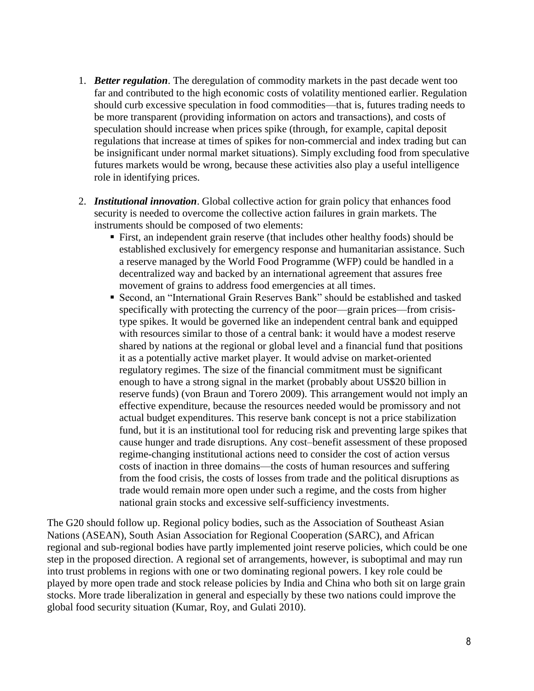- 1. *Better regulation*. The deregulation of commodity markets in the past decade went too far and contributed to the high economic costs of volatility mentioned earlier. Regulation should curb excessive speculation in food commodities—that is, futures trading needs to be more transparent (providing information on actors and transactions), and costs of speculation should increase when prices spike (through, for example, capital deposit regulations that increase at times of spikes for non-commercial and index trading but can be insignificant under normal market situations). Simply excluding food from speculative futures markets would be wrong, because these activities also play a useful intelligence role in identifying prices.
- 2. *Institutional innovation*. Global collective action for grain policy that enhances food security is needed to overcome the collective action failures in grain markets. The instruments should be composed of two elements:
	- First, an independent grain reserve (that includes other healthy foods) should be established exclusively for emergency response and humanitarian assistance. Such a reserve managed by the World Food Programme (WFP) could be handled in a decentralized way and backed by an international agreement that assures free movement of grains to address food emergencies at all times.
	- Second, an "International Grain Reserves Bank" should be established and tasked specifically with protecting the currency of the poor—grain prices—from crisistype spikes. It would be governed like an independent central bank and equipped with resources similar to those of a central bank: it would have a modest reserve shared by nations at the regional or global level and a financial fund that positions it as a potentially active market player. It would advise on market-oriented regulatory regimes. The size of the financial commitment must be significant enough to have a strong signal in the market (probably about US\$20 billion in reserve funds) (von Braun and Torero 2009). This arrangement would not imply an effective expenditure, because the resources needed would be promissory and not actual budget expenditures. This reserve bank concept is not a price stabilization fund, but it is an institutional tool for reducing risk and preventing large spikes that cause hunger and trade disruptions. Any cost–benefit assessment of these proposed regime-changing institutional actions need to consider the cost of action versus costs of inaction in three domains—the costs of human resources and suffering from the food crisis, the costs of losses from trade and the political disruptions as trade would remain more open under such a regime, and the costs from higher national grain stocks and excessive self-sufficiency investments.

The G20 should follow up. Regional policy bodies, such as the Association of Southeast Asian Nations (ASEAN), [South Asian Association for Regional Cooperation \(](http://www.google.de/url?sa=t&source=web&cd=4&ved=0CDoQFjAD&url=http%3A%2F%2Fwww.saarc-sec.org%2F&ei=tEzGTarNKM7oOeCGkPcB&usg=AFQjCNEMtqg-z85MfzX9GQ5oPru6ledmKQ)SARC), and African regional and sub-regional bodies have partly implemented joint reserve policies, which could be one step in the proposed direction. A regional set of arrangements, however, is suboptimal and may run into trust problems in regions with one or two dominating regional powers. I key role could be played by more open trade and stock release policies by India and China who both sit on large grain stocks. More trade liberalization in general and especially by these two nations could improve the global food security situation (Kumar, Roy, and Gulati 2010).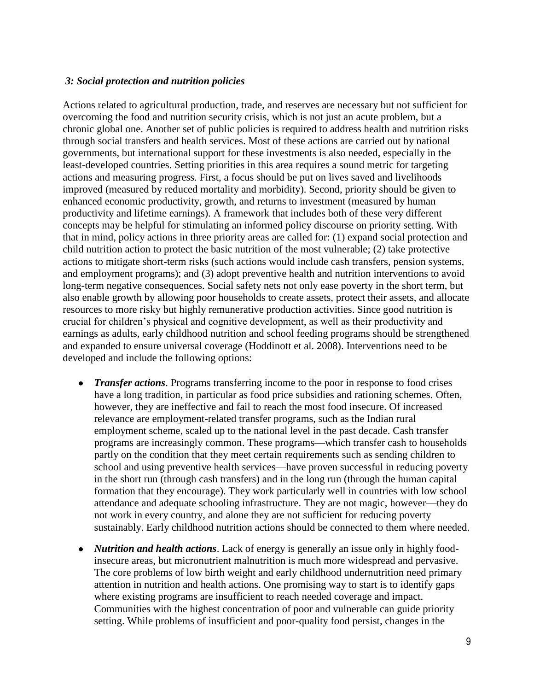## *3: Social protection and nutrition policies*

Actions related to agricultural production, trade, and reserves are necessary but not sufficient for overcoming the food and nutrition security crisis, which is not just an acute problem, but a chronic global one. Another set of public policies is required to address health and nutrition risks through social transfers and health services. Most of these actions are carried out by national governments, but international support for these investments is also needed, especially in the least-developed countries. Setting priorities in this area requires a sound metric for targeting actions and measuring progress. First, a focus should be put on lives saved and livelihoods improved (measured by reduced mortality and morbidity). Second, priority should be given to enhanced economic productivity, growth, and returns to investment (measured by human productivity and lifetime earnings). A framework that includes both of these very different concepts may be helpful for stimulating an informed policy discourse on priority setting. With that in mind, policy actions in three priority areas are called for: (1) expand social protection and child nutrition action to protect the basic nutrition of the most vulnerable; (2) take protective actions to mitigate short-term risks (such actions would include cash transfers, pension systems, and employment programs); and (3) adopt preventive health and nutrition interventions to avoid long-term negative consequences. Social safety nets not only ease poverty in the short term, but also enable growth by allowing poor households to create assets, protect their assets, and allocate resources to more risky but highly remunerative production activities. Since good nutrition is crucial for children's physical and cognitive development, as well as their productivity and earnings as adults, early childhood nutrition and school feeding programs should be strengthened and expanded to ensure universal coverage (Hoddinott et al. 2008). Interventions need to be developed and include the following options:

- *Transfer actions*. Programs transferring income to the poor in response to food crises have a long tradition, in particular as food price subsidies and rationing schemes. Often, however, they are ineffective and fail to reach the most food insecure. Of increased relevance are employment-related transfer programs, such as the Indian rural employment scheme, scaled up to the national level in the past decade. Cash transfer programs are increasingly common. These programs—which transfer cash to households partly on the condition that they meet certain requirements such as sending children to school and using preventive health services—have proven successful in reducing poverty in the short run (through cash transfers) and in the long run (through the human capital formation that they encourage). They work particularly well in countries with low school attendance and adequate schooling infrastructure. They are not magic, however—they do not work in every country, and alone they are not sufficient for reducing poverty sustainably. Early childhood nutrition actions should be connected to them where needed.
- *Nutrition and health actions*. Lack of energy is generally an issue only in highly food- $\bullet$ insecure areas, but micronutrient malnutrition is much more widespread and pervasive. The core problems of low birth weight and early childhood undernutrition need primary attention in nutrition and health actions. One promising way to start is to identify gaps where existing programs are insufficient to reach needed coverage and impact. Communities with the highest concentration of poor and vulnerable can guide priority setting. While problems of insufficient and poor-quality food persist, changes in the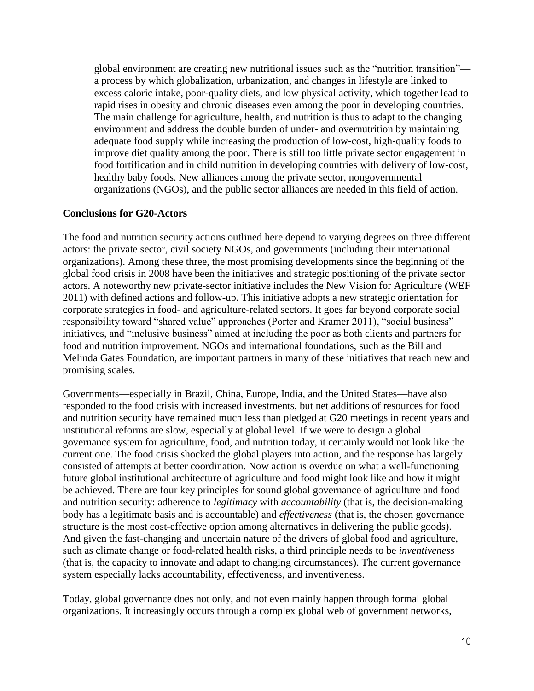global environment are creating new nutritional issues such as the "nutrition transition" a process by which globalization, urbanization, and changes in lifestyle are linked to excess caloric intake, poor-quality diets, and low physical activity, which together lead to rapid rises in obesity and chronic diseases even among the poor in developing countries. The main challenge for agriculture, health, and nutrition is thus to adapt to the changing environment and address the double burden of under- and overnutrition by maintaining adequate food supply while increasing the production of low-cost, high-quality foods to improve diet quality among the poor. There is still too little private sector engagement in food fortification and in child nutrition in developing countries with delivery of low-cost, healthy baby foods. New alliances among the private sector, nongovernmental organizations (NGOs), and the public sector alliances are needed in this field of action.

## **Conclusions for G20-Actors**

The food and nutrition security actions outlined here depend to varying degrees on three different actors: the private sector, civil society NGOs, and governments (including their international organizations). Among these three, the most promising developments since the beginning of the global food crisis in 2008 have been the initiatives and strategic positioning of the private sector actors. A noteworthy new private-sector initiative includes the New Vision for Agriculture (WEF 2011) with defined actions and follow-up. This initiative adopts a new strategic orientation for corporate strategies in food- and agriculture-related sectors. It goes far beyond corporate social responsibility toward "shared value" approaches (Porter and Kramer 2011), "social business" initiatives, and "inclusive business" aimed at including the poor as both clients and partners for food and nutrition improvement. NGOs and international foundations, such as the Bill and Melinda Gates Foundation, are important partners in many of these initiatives that reach new and promising scales.

Governments—especially in Brazil, China, Europe, India, and the United States—have also responded to the food crisis with increased investments, but net additions of resources for food and nutrition security have remained much less than pledged at G20 meetings in recent years and institutional reforms are slow, especially at global level. If we were to design a global governance system for agriculture, food, and nutrition today, it certainly would not look like the current one. The food crisis shocked the global players into action, and the response has largely consisted of attempts at better coordination. Now action is overdue on what a well-functioning future global institutional architecture of agriculture and food might look like and how it might be achieved. There are four key principles for sound global governance of agriculture and food and nutrition security: adherence to *legitimacy* with *accountability* (that is, the decision-making body has a legitimate basis and is accountable) and *effectiveness* (that is, the chosen governance structure is the most cost-effective option among alternatives in delivering the public goods). And given the fast-changing and uncertain nature of the drivers of global food and agriculture, such as climate change or food-related health risks, a third principle needs to be *inventiveness* (that is, the capacity to innovate and adapt to changing circumstances). The current governance system especially lacks accountability, effectiveness, and inventiveness.

Today, global governance does not only, and not even mainly happen through formal global organizations. It increasingly occurs through a complex global web of government networks,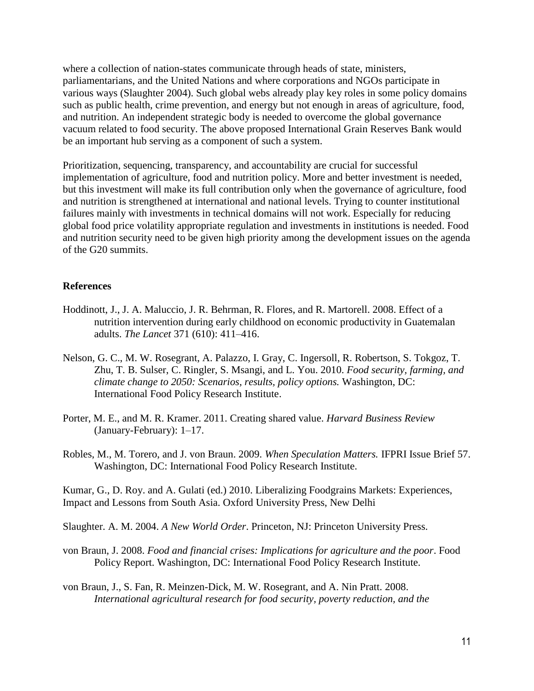where a collection of nation-states communicate through heads of state, ministers, parliamentarians, and the United Nations and where corporations and NGOs participate in various ways (Slaughter 2004). Such global webs already play key roles in some policy domains such as public health, crime prevention, and energy but not enough in areas of agriculture, food, and nutrition. An independent strategic body is needed to overcome the global governance vacuum related to food security. The above proposed International Grain Reserves Bank would be an important hub serving as a component of such a system.

Prioritization, sequencing, transparency, and accountability are crucial for successful implementation of agriculture, food and nutrition policy. More and better investment is needed, but this investment will make its full contribution only when the governance of agriculture, food and nutrition is strengthened at international and national levels. Trying to counter institutional failures mainly with investments in technical domains will not work. Especially for reducing global food price volatility appropriate regulation and investments in institutions is needed. Food and nutrition security need to be given high priority among the development issues on the agenda of the G20 summits.

### **References**

- Hoddinott, J., J. A. Maluccio, J. R. Behrman, R. Flores, and R. Martorell. 2008. Effect of a nutrition intervention during early childhood on economic productivity in Guatemalan adults. *The Lancet* 371 (610): 411–416.
- Nelson, G. C., M. W. Rosegrant, A. Palazzo, I. Gray, C. Ingersoll, R. Robertson, S. Tokgoz, T. Zhu, T. B. Sulser, C. Ringler, S. Msangi, and L. You. 2010. *Food security, farming, and climate change to 2050: Scenarios, results, policy options.* Washington, DC: International Food Policy Research Institute.
- Porter, M. E., and M. R. Kramer. 2011. Creating shared value. *Harvard Business Review* (January-February): 1–17.
- Robles, M., M. Torero, and J. von Braun. 2009. *When Speculation Matters.* IFPRI Issue Brief 57. Washington, DC: International Food Policy Research Institute.

Kumar, G., D. Roy. and A. Gulati (ed.) 2010. Liberalizing Foodgrains Markets: Experiences, Impact and Lessons from South Asia. Oxford University Press, New Delhi

Slaughter. A. M. 2004. *A New World Order*. Princeton, NJ: Princeton University Press.

- von Braun, J. 2008. *Food and financial crises: Implications for agriculture and the poor*. Food Policy Report. Washington, DC: International Food Policy Research Institute.
- von Braun, J., S. Fan, R. Meinzen-Dick, M. W. Rosegrant, and A. Nin Pratt. 2008. *International agricultural research for food security, poverty reduction, and the*